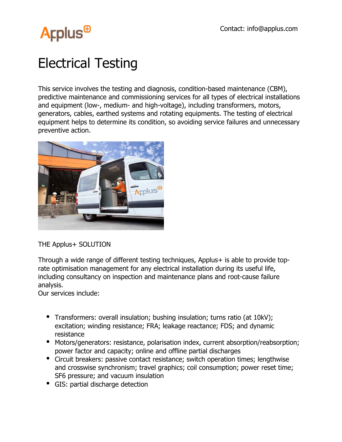

## Electrical Testing

This service involves the testing and diagnosis, condition-based maintenance (CBM), predictive maintenance and commissioning services for all types of electrical installations and equipment (low-, medium- and high-voltage), including transformers, motors, generators, cables, earthed systems and rotating equipments. The testing of electrical equipment helps to determine its condition, so avoiding service failures and unnecessary preventive action.



THE Applus+ SOLUTION

Through a wide range of different testing techniques, Applus+ is able to provide toprate optimisation management for any electrical installation during its useful life, including consultancy on inspection and maintenance plans and root-cause failure analysis.

Our services include:

- Transformers: overall insulation; bushing insulation; turns ratio (at 10kV); excitation; winding resistance; FRA; leakage reactance; FDS; and dynamic resistance
- Motors/generators: resistance, polarisation index, current absorption/reabsorption; power factor and capacity; online and offline partial discharges
- Circuit breakers: passive contact resistance; switch operation times; lengthwise and crosswise synchronism; travel graphics; coil consumption; power reset time; SF6 pressure; and vacuum insulation
- GIS: partial discharge detection